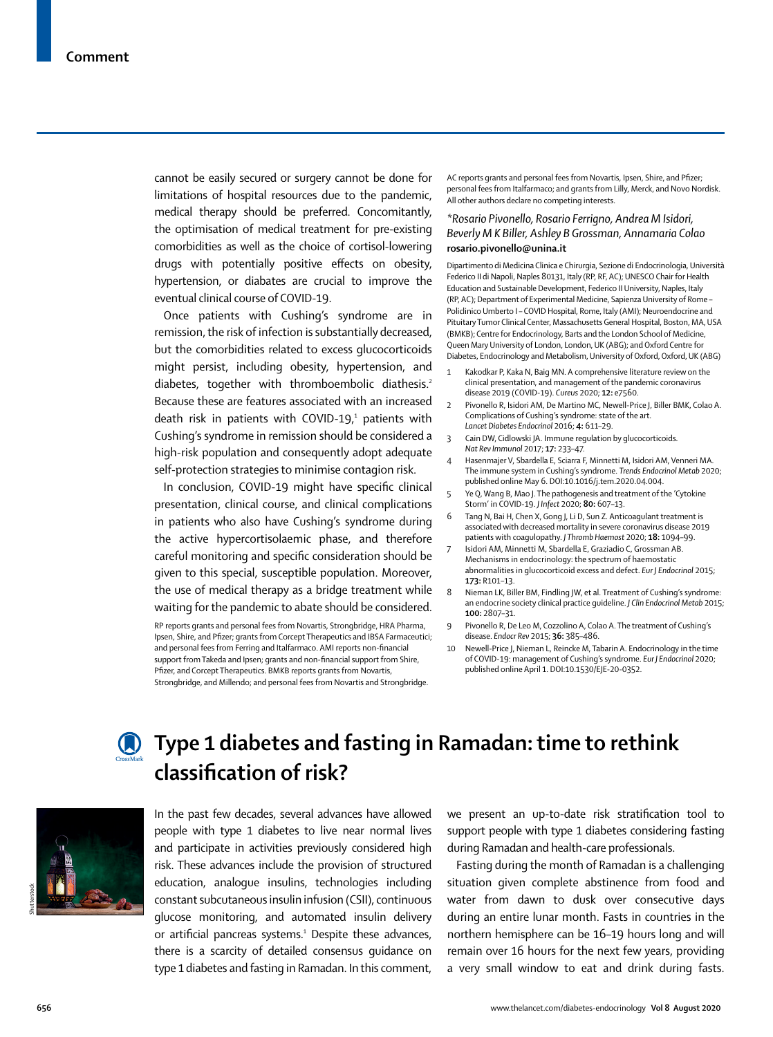cannot be easily secured or surgery cannot be done for limitations of hospital resources due to the pandemic, medical therapy should be preferred. Concomitantly, the optimisation of medical treatment for pre-existing comorbidities as well as the choice of cortisol-lowering drugs with potentially positive effects on obesity, hypertension, or diabates are crucial to improve the eventual clinical course of COVID-19.

Once patients with Cushing's syndrome are in remission, the risk of infection is substantially decreased, but the comorbidities related to excess glucocorticoids might persist, including obesity, hypertension, and diabetes, together with thromboembolic diathesis.<sup>2</sup> Because these are features associated with an increased death risk in patients with COVID-19, $1$  patients with Cushing's syndrome in remission should be considered a high-risk population and consequently adopt adequate self-protection strategies to minimise contagion risk.

In conclusion, COVID-19 might have specific clinical presentation, clinical course, and clinical complications in patients who also have Cushing's syndrome during the active hypercortisolaemic phase, and therefore careful monitoring and specific consideration should be given to this special, susceptible population. Moreover, the use of medical therapy as a bridge treatment while waiting for the pandemic to abate should be considered.

RP reports grants and personal fees from Novartis, Strongbridge, HRA Pharma, Ipsen, Shire, and Pfizer; grants from Corcept Therapeutics and IBSA Farmaceutici; and personal fees from Ferring and Italfarmaco. AMI reports non-financial support from Takeda and Ipsen; grants and non-financial support from Shire, Pfizer, and Corcept Therapeutics. BMKB reports grants from Novartis, Strongbridge, and Millendo; and personal fees from Novartis and Strongbridge.

AC reports grants and personal fees from Novartis, Ipsen, Shire, and Pfizer; personal fees from Italfarmaco; and grants from Lilly, Merck, and Novo Nordisk. All other authors declare no competing interests.

# *\*Rosario Pivonello, Rosario Ferrigno, Andrea M Isidori, Beverly M K Biller, Ashley B Grossman, Annamaria Colao* **rosario.pivonello@unina.it**

Dipartimento di Medicina Clinica e Chirurgia, Sezione di Endocrinologia, Università Federico II di Napoli, Naples 80131, Italy (RP, RF, AC); UNESCO Chair for Health Education and Sustainable Development, Federico II University, Naples, Italy (RP, AC); Department of Experimental Medicine, Sapienza University of Rome – Policlinico Umberto I – COVID Hospital, Rome, Italy (AMI); Neuroendocrine and Pituitary Tumor Clinical Center, Massachusetts General Hospital, Boston, MA, USA (BMKB); Centre for Endocrinology, Barts and the London School of Medicine, Queen Mary University of London, London, UK (ABG); and Oxford Centre for Diabetes, Endocrinology and Metabolism, University of Oxford, Oxford, UK (ABG)

- Kakodkar P, Kaka N, Baig MN. A comprehensive literature review on the clinical presentation, and management of the pandemic coronavirus disease 2019 (COVID-19). *Cureus* 2020; **12:** e7560.
- 2 Pivonello R, Isidori AM, De Martino MC, Newell-Price J, Biller BMK, Colao A. Complications of Cushing's syndrome: state of the art. *Lancet Diabetes Endocrinol* 2016; **4:** 611–29.
- 3 Cain DW, Cidlowski JA. Immune regulation by glucocorticoids. *Nat Rev Immunol* 2017; **17:** 233–47.
- 4 Hasenmajer V, Sbardella E, Sciarra F, Minnetti M, Isidori AM, Venneri MA. The immune system in Cushing's syndrome. *Trends Endocrinol Metab* 2020; published online May 6. DOI:10.1016/j.tem.2020.04.004.
- Ye Q, Wang B, Mao J. The pathogenesis and treatment of the 'Cytokine Storm' in COVID-19. *J Infect* 2020; **80:** 607–13.
- 6 Tang N, Bai H, Chen X, Gong J, Li D, Sun Z. Anticoagulant treatment is associated with decreased mortality in severe coronavirus disease 2019 patients with coagulopathy. *J Thromb Haemost* 2020; **18:** 1094–99.
- 7 Isidori AM, Minnetti M, Sbardella E, Graziadio C, Grossman AB. Mechanisms in endocrinology: the spectrum of haemostatic abnormalities in glucocorticoid excess and defect. *Eur J Endocrinol* 2015; **173:** R101–13.
- 8 Nieman LK, Biller BM, Findling JW, et al. Treatment of Cushing's syndrome: an endocrine society clinical practice guideline. *J Clin Endocrinol Metab* 2015; **100:** 2807–31.
- Pivonello R, De Leo M, Cozzolino A, Colao A. The treatment of Cushing's disease. *Endocr Rev* 2015; **36:** 385–486.
- 10 Newell-Price J, Nieman L, Reincke M, Tabarin A, Endocrinology in the time of COVID-19: management of Cushing's syndrome. *Eur J Endocrinol* 2020; published online April 1. DOI:10.1530/EJE-20-0352.

# **Type 1 diabetes and fasting in Ramadan: time to rethink classification of risk?**



In the past few decades, several advances have allowed people with type 1 diabetes to live near normal lives and participate in activities previously considered high risk. These advances include the provision of structured education, analogue insulins, technologies including constant subcutaneous insulin infusion (CSII), continuous glucose monitoring, and automated insulin delivery or artificial pancreas systems.<sup>1</sup> Despite these advances, there is a scarcity of detailed consensus guidance on type 1 diabetes and fasting in Ramadan. In this comment,

we present an up-to-date risk stratification tool to support people with type 1 diabetes considering fasting during Ramadan and health-care professionals.

Fasting during the month of Ramadan is a challenging situation given complete abstinence from food and water from dawn to dusk over consecutive days during an entire lunar month. Fasts in countries in the northern hemisphere can be 16–19 hours long and will remain over 16 hours for the next few years, providing a very small window to eat and drink during fasts.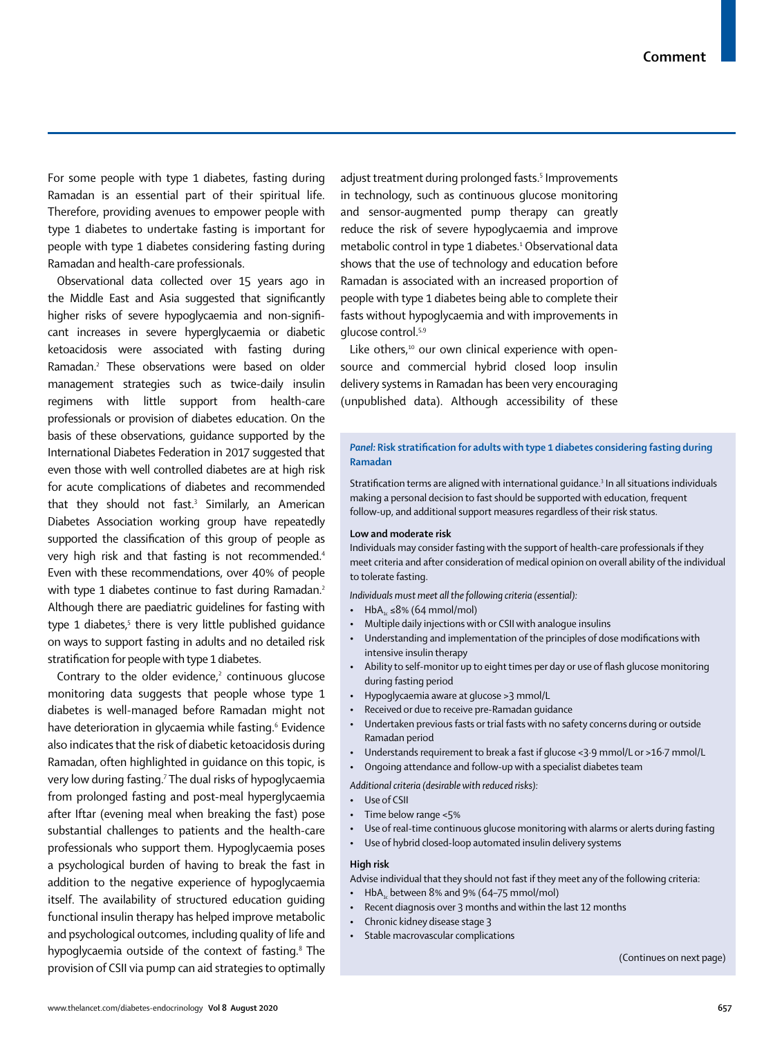For some people with type 1 diabetes, fasting during Ramadan is an essential part of their spiritual life. Therefore, providing avenues to empower people with type 1 diabetes to undertake fasting is important for people with type 1 diabetes considering fasting during Ramadan and health-care professionals.

Observational data collected over 15 years ago in the Middle East and Asia suggested that significantly higher risks of severe hypoglycaemia and non-significant increases in severe hyperglycaemia or diabetic ketoacidosis were associated with fasting during Ramadan.2 These observations were based on older management strategies such as twice-daily insulin regimens with little support from health-care professionals or provision of diabetes education. On the basis of these observations, guidance supported by the International Diabetes Federation in 2017 suggested that even those with well controlled diabetes are at high risk for acute complications of diabetes and recommended that they should not fast.3 Similarly, an American Diabetes Association working group have repeatedly supported the classification of this group of people as very high risk and that fasting is not recommended.<sup>4</sup> Even with these recommendations, over 40% of people with type 1 diabetes continue to fast during Ramadan.<sup>2</sup> Although there are paediatric guidelines for fasting with type 1 diabetes,<sup>5</sup> there is very little published guidance on ways to support fasting in adults and no detailed risk stratification for people with type 1 diabetes.

Contrary to the older evidence, $2$  continuous glucose monitoring data suggests that people whose type 1 diabetes is well-managed before Ramadan might not have deterioration in glycaemia while fasting.<sup>6</sup> Evidence also indicates that the risk of diabetic ketoacidosis during Ramadan, often highlighted in guidance on this topic, is very low during fasting.<sup>7</sup> The dual risks of hypoglycaemia from prolonged fasting and post-meal hyperglycaemia after Iftar (evening meal when breaking the fast) pose substantial challenges to patients and the health-care professionals who support them. Hypoglycaemia poses a psychological burden of having to break the fast in addition to the negative experience of hypoglycaemia itself. The availability of structured education guiding functional insulin therapy has helped improve metabolic and psychological outcomes, including quality of life and hypoglycaemia outside of the context of fasting.<sup>8</sup> The provision of CSII via pump can aid strategies to optimally

adjust treatment during prolonged fasts.<sup>5</sup> Improvements in technology, such as continuous glucose monitoring and sensor-augmented pump therapy can greatly reduce the risk of severe hypoglycaemia and improve metabolic control in type 1 diabetes.<sup>1</sup> Observational data shows that the use of technology and education before Ramadan is associated with an increased proportion of people with type 1 diabetes being able to complete their fasts without hypoglycaemia and with improvements in glucose control.5,9

Like others,<sup>10</sup> our own clinical experience with opensource and commercial hybrid closed loop insulin delivery systems in Ramadan has been very encouraging (unpublished data). Although accessibility of these

# *Panel:* **Risk stratification for adults with type 1 diabetes considering fasting during Ramadan**

Stratification terms are aligned with international guidance.<sup>3</sup> In all situations individuals making a personal decision to fast should be supported with education, frequent follow-up, and additional support measures regardless of their risk status.

# **Low and moderate risk**

Individuals may consider fasting with the support of health-care professionals if they meet criteria and after consideration of medical opinion on overall ability of the individual to tolerate fasting.

*Individuals must meet all the following criteria (essential):*

- $HbA_{1c} \leq 8\%$  (64 mmol/mol)
- Multiple daily injections with or CSII with analogue insulins
- Understanding and implementation of the principles of dose modifications with intensive insulin therapy
- Ability to self-monitor up to eight times per day or use of flash glucose monitoring during fasting period
- Hypoglycaemia aware at glucose >3 mmol/L
- Received or due to receive pre-Ramadan guidance
- Undertaken previous fasts or trial fasts with no safety concerns during or outside Ramadan period
- Understands requirement to break a fast if glucose <3∙9 mmol/L or >16∙7 mmol/L
- Ongoing attendance and follow-up with a specialist diabetes team

*Additional criteria (desirable with reduced risks):*

- Use of CSII
- Time below range <5%
- Use of real-time continuous glucose monitoring with alarms or alerts during fasting
- Use of hybrid closed-loop automated insulin delivery systems

#### **High risk**

Advise individual that they should not fast if they meet any of the following criteria:

- $HbA_{1c}$  between 8% and 9% (64–75 mmol/mol)
- Recent diagnosis over 3 months and within the last 12 months
- Chronic kidney disease stage 3
- Stable macrovascular complications

(Continues on next page)